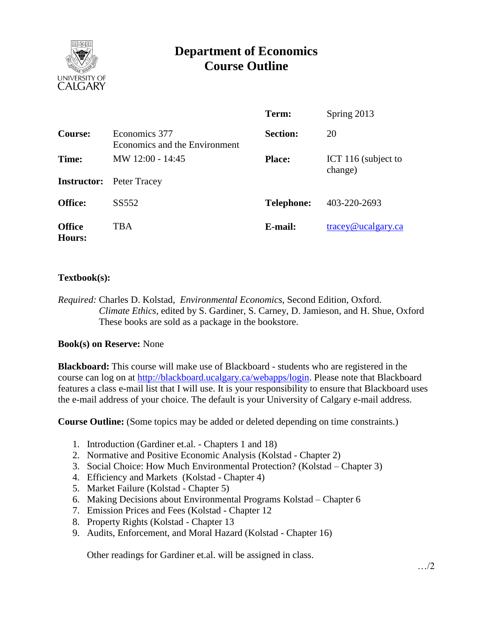

# **Department of Economics Course Outline**

|                                |                                                | Term:             | Spring 2013                      |
|--------------------------------|------------------------------------------------|-------------------|----------------------------------|
| Course:                        | Economics 377<br>Economics and the Environment | <b>Section:</b>   | 20                               |
| Time:                          | MW 12:00 - 14:45                               | <b>Place:</b>     | ICT 116 (subject to<br>change)   |
|                                | <b>Instructor:</b> Peter Tracey                |                   |                                  |
| <b>Office:</b>                 | SS552                                          | <b>Telephone:</b> | 403-220-2693                     |
| <b>Office</b><br><b>Hours:</b> | TBA                                            | E-mail:           | $trace\$ <sub>@ucalgary.ca</sub> |

## **Textbook(s):**

*Required:* Charles D. Kolstad, *Environmental Economics*, Second Edition, Oxford. *Climate Ethics*, edited by S. Gardiner, S. Carney, D. Jamieson, and H. Shue, Oxford These books are sold as a package in the bookstore.

### **Book(s) on Reserve:** None

**Blackboard:** This course will make use of Blackboard - students who are registered in the course can log on at [http://blackboard.ucalgary.ca/webapps/login.](http://blackboard.ucalgary.ca/webapps/login) Please note that Blackboard features a class e-mail list that I will use. It is your responsibility to ensure that Blackboard uses the e-mail address of your choice. The default is your University of Calgary e-mail address.

**Course Outline:** (Some topics may be added or deleted depending on time constraints.)

- 1. Introduction (Gardiner et.al. Chapters 1 and 18)
- 2. Normative and Positive Economic Analysis (Kolstad Chapter 2)
- 3. Social Choice: How Much Environmental Protection? (Kolstad Chapter 3)
- 4. Efficiency and Markets (Kolstad Chapter 4)
- 5. Market Failure (Kolstad Chapter 5)
- 6. Making Decisions about Environmental Programs Kolstad Chapter 6
- 7. Emission Prices and Fees (Kolstad Chapter 12
- 8. Property Rights (Kolstad Chapter 13
- 9. Audits, Enforcement, and Moral Hazard (Kolstad Chapter 16)

Other readings for Gardiner et.al. will be assigned in class.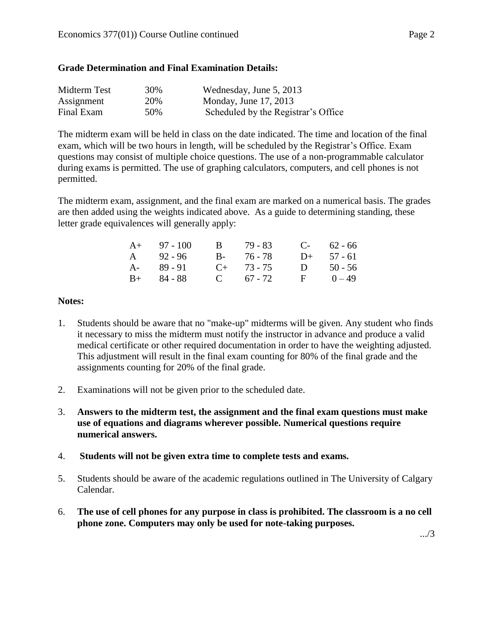### **Grade Determination and Final Examination Details:**

| Midterm Test | 30% | Wednesday, June 5, 2013             |
|--------------|-----|-------------------------------------|
| Assignment   | 20% | Monday, June 17, 2013               |
| Final Exam   | 50% | Scheduled by the Registrar's Office |

The midterm exam will be held in class on the date indicated. The time and location of the final exam, which will be two hours in length, will be scheduled by the Registrar's Office. Exam questions may consist of multiple choice questions. The use of a non-programmable calculator during exams is permitted. The use of graphing calculators, computers, and cell phones is not permitted.

The midterm exam, assignment, and the final exam are marked on a numerical basis. The grades are then added using the weights indicated above. As a guide to determining standing, these letter grade equivalences will generally apply:

| $A+ 97 - 100$ | B 79-83         | $C-$ 62 - 66 |
|---------------|-----------------|--------------|
| A $92 - 96$   | B- 76-78        | $D+ 57 - 61$ |
| $A - 89 - 91$ | $C_{+}$ 73 - 75 | D $50 - 56$  |
| $B+ 84 - 88$  | C $67 - 72$     | $F = 0 - 49$ |

#### **Notes:**

- 1. Students should be aware that no "make-up" midterms will be given. Any student who finds it necessary to miss the midterm must notify the instructor in advance and produce a valid medical certificate or other required documentation in order to have the weighting adjusted. This adjustment will result in the final exam counting for 80% of the final grade and the assignments counting for 20% of the final grade.
- 2. Examinations will not be given prior to the scheduled date.
- 3. **Answers to the midterm test, the assignment and the final exam questions must make use of equations and diagrams wherever possible. Numerical questions require numerical answers.**
- 4. **Students will not be given extra time to complete tests and exams.**
- 5. Students should be aware of the academic regulations outlined in The University of Calgary Calendar.
- 6. **The use of cell phones for any purpose in class is prohibited. The classroom is a no cell phone zone. Computers may only be used for note-taking purposes.**

.../3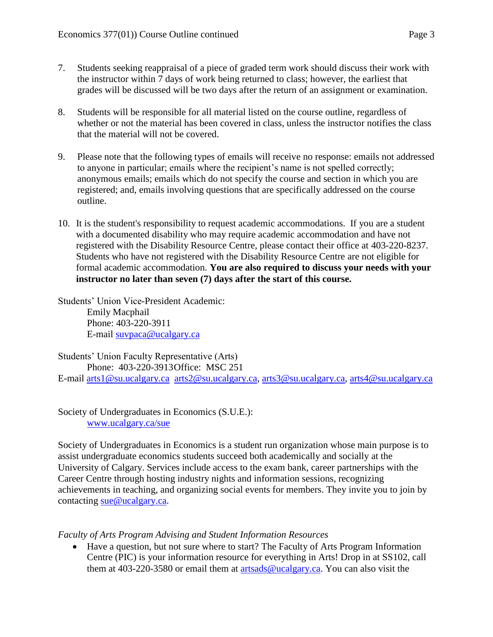- 7. Students seeking reappraisal of a piece of graded term work should discuss their work with the instructor within 7 days of work being returned to class; however, the earliest that grades will be discussed will be two days after the return of an assignment or examination.
- 8. Students will be responsible for all material listed on the course outline, regardless of whether or not the material has been covered in class, unless the instructor notifies the class that the material will not be covered.
- 9. Please note that the following types of emails will receive no response: emails not addressed to anyone in particular; emails where the recipient's name is not spelled correctly; anonymous emails; emails which do not specify the course and section in which you are registered; and, emails involving questions that are specifically addressed on the course outline.
- 10. It is the student's responsibility to request academic accommodations. If you are a student with a documented disability who may require academic accommodation and have not registered with the Disability Resource Centre, please contact their office at 403-220-8237. Students who have not registered with the Disability Resource Centre are not eligible for formal academic accommodation. **You are also required to discuss your needs with your instructor no later than seven (7) days after the start of this course.**

Students' Union Vice-President Academic: Emily Macphail Phone: 403-220-3911 E-mail [suvpaca@ucalgary.ca](mailto:subpaca@ucalgary.ca)

Students' Union Faculty Representative (Arts) Phone: 403-220-3913Office: MSC 251 E-mail [arts1@su.ucalgary.ca](mailto:arts1@su.ucalgary.ca) [arts2@su.ucalgary.ca,](mailto:arts2@su.ucalgary.ca) [arts3@su.ucalgary.ca,](mailto:arts3@su.ucalgary.ca) [arts4@su.ucalgary.ca](mailto:arts4@su.ucalgary.ca)

Society of Undergraduates in Economics (S.U.E.): [www.ucalgary.ca/sue](http://www.fp.ucalgary.ca/econ)

Society of Undergraduates in Economics is a student run organization whose main purpose is to assist undergraduate economics students succeed both academically and socially at the University of Calgary. Services include access to the exam bank, career partnerships with the Career Centre through hosting industry nights and information sessions, recognizing achievements in teaching, and organizing social events for members. They invite you to join by contacting [sue@ucalgary.ca.](mailto:sue@ucalgary.ca)

*Faculty of Arts Program Advising and Student Information Resources*

 Have a question, but not sure where to start? The Faculty of Arts Program Information Centre (PIC) is your information resource for everything in Arts! Drop in at SS102, call them at  $403-220-3580$  or email them at [artsads@ucalgary.ca.](mailto:artsads@ucalgary.ca) You can also visit the